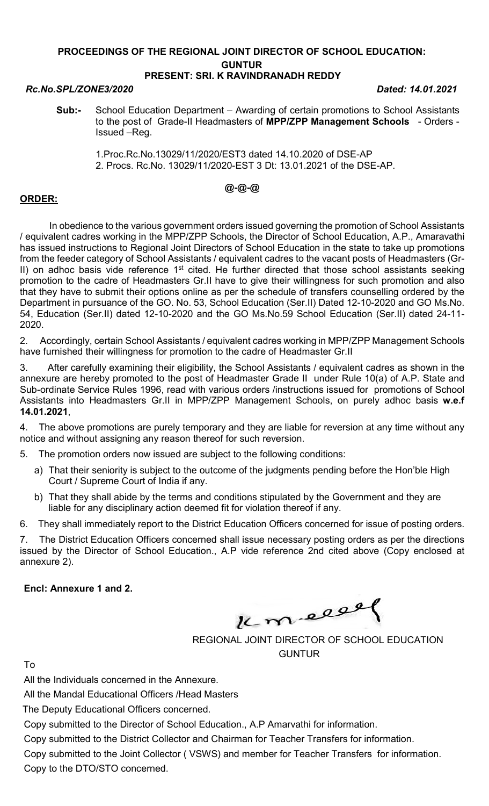# PROCEEDINGS OF THE REGIONAL JOINT DIRECTOR OF SCHOOL EDUCATION: GUNTUR

## PRESENT: SRI. K RAVINDRANADH REDDY

#### Rc.No.SPL/ZONE3/2020 Dated: 14.01.2021

- Sub:- School Education Department Awarding of certain promotions to School Assistants to the post of Grade-II Headmasters of MPP/ZPP Management Schools - Orders -Issued –Reg.
	- 1.Proc.Rc.No.13029/11/2020/EST3 dated 14.10.2020 of DSE-AP 2. Procs. Rc.No. 13029/11/2020-EST 3 Dt: 13.01.2021 of the DSE-AP.

### @-@-@

### ORDER:

 In obedience to the various government orders issued governing the promotion of School Assistants / equivalent cadres working in the MPP/ZPP Schools, the Director of School Education, A.P., Amaravathi has issued instructions to Regional Joint Directors of School Education in the state to take up promotions from the feeder category of School Assistants / equivalent cadres to the vacant posts of Headmasters (Gr-II) on adhoc basis vide reference 1<sup>st</sup> cited. He further directed that those school assistants seeking promotion to the cadre of Headmasters Gr.II have to give their willingness for such promotion and also that they have to submit their options online as per the schedule of transfers counselling ordered by the Department in pursuance of the GO. No. 53, School Education (Ser.II) Dated 12-10-2020 and GO Ms.No. 54, Education (Ser.II) dated 12-10-2020 and the GO Ms.No.59 School Education (Ser.II) dated 24-11- 2020.

2. Accordingly, certain School Assistants / equivalent cadres working in MPP/ZPP Management Schools have furnished their willingness for promotion to the cadre of Headmaster Gr.II

3. After carefully examining their eligibility, the School Assistants / equivalent cadres as shown in the annexure are hereby promoted to the post of Headmaster Grade II under Rule 10(a) of A.P. State and Sub-ordinate Service Rules 1996, read with various orders /instructions issued for promotions of School Assistants into Headmasters Gr.II in MPP/ZPP Management Schools, on purely adhoc basis w.e.f 14.01.2021,

4. The above promotions are purely temporary and they are liable for reversion at any time without any notice and without assigning any reason thereof for such reversion.

5. The promotion orders now issued are subject to the following conditions:

- a) That their seniority is subject to the outcome of the judgments pending before the Hon'ble High Court / Supreme Court of India if any.
- b) That they shall abide by the terms and conditions stipulated by the Government and they are liable for any disciplinary action deemed fit for violation thereof if any.

6. They shall immediately report to the District Education Officers concerned for issue of posting orders.

7. The District Education Officers concerned shall issue necessary posting orders as per the directions issued by the Director of School Education., A.P vide reference 2nd cited above (Copy enclosed at annexure 2).

Encl: Annexure 1 and 2.

Km elle

REGIONAL JOINT DIRECTOR OF SCHOOL EDUCATION GUNTUR

To

All the Individuals concerned in the Annexure.

All the Mandal Educational Officers /Head Masters

The Deputy Educational Officers concerned.

Copy submitted to the Director of School Education., A.P Amarvathi for information.

Copy submitted to the District Collector and Chairman for Teacher Transfers for information.

Copy submitted to the Joint Collector ( VSWS) and member for Teacher Transfers for information. Copy to the DTO/STO concerned.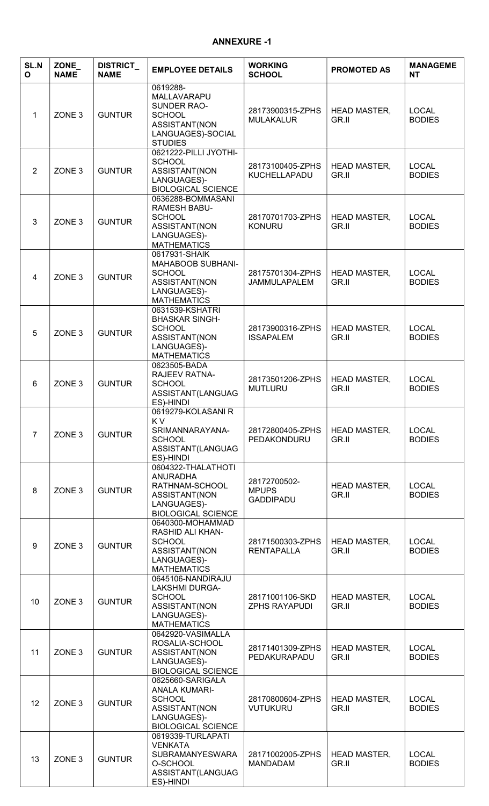#### ANNEXURE -1

| <b>SL.N</b><br>$\mathbf{o}$ | ZONE_<br><b>NAME</b> | <b>DISTRICT_</b><br><b>NAME</b> | <b>EMPLOYEE DETAILS</b>                                                                                                | <b>WORKING</b><br><b>SCHOOL</b>                  | <b>PROMOTED AS</b>           | <b>MANAGEME</b><br><b>NT</b>  |
|-----------------------------|----------------------|---------------------------------|------------------------------------------------------------------------------------------------------------------------|--------------------------------------------------|------------------------------|-------------------------------|
| 1                           | ZONE <sub>3</sub>    | <b>GUNTUR</b>                   | 0619288-<br>MALLAVARAPU<br>SUNDER RAO-<br><b>SCHOOL</b><br>ASSISTANT(NON<br>LANGUAGES)-SOCIAL<br><b>STUDIES</b>        | 28173900315-ZPHS<br><b>MULAKALUR</b>             | <b>HEAD MASTER,</b><br>GR.II | <b>LOCAL</b><br><b>BODIES</b> |
| $\overline{2}$              | ZONE <sub>3</sub>    | <b>GUNTUR</b>                   | 0621222-PILLI JYOTHI-<br><b>SCHOOL</b><br>ASSISTANT(NON<br>LANGUAGES)-<br><b>BIOLOGICAL SCIENCE</b>                    | 28173100405-ZPHS<br>KUCHELLAPADU                 | <b>HEAD MASTER,</b><br>GR.II | <b>LOCAL</b><br><b>BODIES</b> |
| 3                           | ZONE <sub>3</sub>    | <b>GUNTUR</b>                   | 0636288-BOMMASANI<br><b>RAMESH BABU-</b><br><b>SCHOOL</b><br>ASSISTANT(NON<br>LANGUAGES)-<br><b>MATHEMATICS</b>        | 28170701703-ZPHS<br><b>KONURU</b>                | <b>HEAD MASTER,</b><br>GR.II | <b>LOCAL</b><br><b>BODIES</b> |
| 4                           | ZONE <sub>3</sub>    | <b>GUNTUR</b>                   | 0617931-SHAIK<br>MAHABOOB SUBHANI-<br><b>SCHOOL</b><br>ASSISTANT(NON<br>LANGUAGES)-<br><b>MATHEMATICS</b>              | 28175701304-ZPHS<br><b>JAMMULAPALEM</b>          | <b>HEAD MASTER,</b><br>GR.II | <b>LOCAL</b><br><b>BODIES</b> |
| 5                           | ZONE <sub>3</sub>    | <b>GUNTUR</b>                   | 0631539-KSHATRI<br><b>BHASKAR SINGH-</b><br><b>SCHOOL</b><br>ASSISTANT(NON<br>LANGUAGES)-<br><b>MATHEMATICS</b>        | 28173900316-ZPHS<br><b>ISSAPALEM</b>             | <b>HEAD MASTER,</b><br>GR.II | <b>LOCAL</b><br><b>BODIES</b> |
| 6                           | ZONE <sub>3</sub>    | <b>GUNTUR</b>                   | 0623505-BADA<br><b>RAJEEV RATNA-</b><br><b>SCHOOL</b><br>ASSISTANT(LANGUAG<br>ES)-HINDI                                | 28173501206-ZPHS<br><b>MUTLURU</b>               | <b>HEAD MASTER,</b><br>GR.II | <b>LOCAL</b><br><b>BODIES</b> |
| $\overline{7}$              | ZONE <sub>3</sub>    | <b>GUNTUR</b>                   | 0619279-KOLASANIR<br>K V<br>SRIMANNARAYANA-<br><b>SCHOOL</b><br>ASSISTANT(LANGUAG<br>ES)-HINDI                         | 28172800405-ZPHS<br>PEDAKONDURU                  | <b>HEAD MASTER,</b><br>GR.II | <b>LOCAL</b><br><b>BODIES</b> |
| 8                           | ZONE <sub>3</sub>    | <b>GUNTUR</b>                   | 0604322-THALATHOTI<br><b>ANURADHA</b><br>RATHNAM-SCHOOL<br>ASSISTANT(NON<br>LANGUAGES)-<br><b>BIOLOGICAL SCIENCE</b>   | 28172700502-<br><b>MPUPS</b><br><b>GADDIPADU</b> | <b>HEAD MASTER,</b><br>GR.II | <b>LOCAL</b><br><b>BODIES</b> |
| 9                           | ZONE <sub>3</sub>    | <b>GUNTUR</b>                   | 0640300-MOHAMMAD<br>RASHID ALI KHAN-<br><b>SCHOOL</b><br>ASSISTANT(NON<br>LANGUAGES)-<br><b>MATHEMATICS</b>            | 28171500303-ZPHS<br><b>RENTAPALLA</b>            | <b>HEAD MASTER,</b><br>GR.II | <b>LOCAL</b><br><b>BODIES</b> |
| 10                          | ZONE <sub>3</sub>    | <b>GUNTUR</b>                   | 0645106-NANDIRAJU<br><b>LAKSHMI DURGA-</b><br><b>SCHOOL</b><br>ASSISTANT(NON<br>LANGUAGES)-<br><b>MATHEMATICS</b>      | 28171001106-SKD<br><b>ZPHS RAYAPUDI</b>          | <b>HEAD MASTER,</b><br>GR.II | <b>LOCAL</b><br><b>BODIES</b> |
| 11                          | ZONE <sub>3</sub>    | <b>GUNTUR</b>                   | 0642920-VASIMALLA<br>ROSALIA-SCHOOL<br>ASSISTANT(NON<br>LANGUAGES)-<br><b>BIOLOGICAL SCIENCE</b>                       | 28171401309-ZPHS<br>PEDAKURAPADU                 | <b>HEAD MASTER,</b><br>GR.II | <b>LOCAL</b><br><b>BODIES</b> |
| 12                          | ZONE <sub>3</sub>    | <b>GUNTUR</b>                   | 0625660-SARIGALA<br><b>ANALA KUMARI-</b><br><b>SCHOOL</b><br>ASSISTANT(NON<br>LANGUAGES)-<br><b>BIOLOGICAL SCIENCE</b> | 28170800604-ZPHS<br><b>VUTUKURU</b>              | <b>HEAD MASTER,</b><br>GR.II | <b>LOCAL</b><br><b>BODIES</b> |
| 13                          | ZONE <sub>3</sub>    | <b>GUNTUR</b>                   | 0619339-TURLAPATI<br><b>VENKATA</b><br><b>SUBRAMANYESWARA</b><br>O-SCHOOL<br>ASSISTANT(LANGUAG<br>ES)-HINDI            | 28171002005-ZPHS<br><b>MANDADAM</b>              | <b>HEAD MASTER,</b><br>GR.II | <b>LOCAL</b><br><b>BODIES</b> |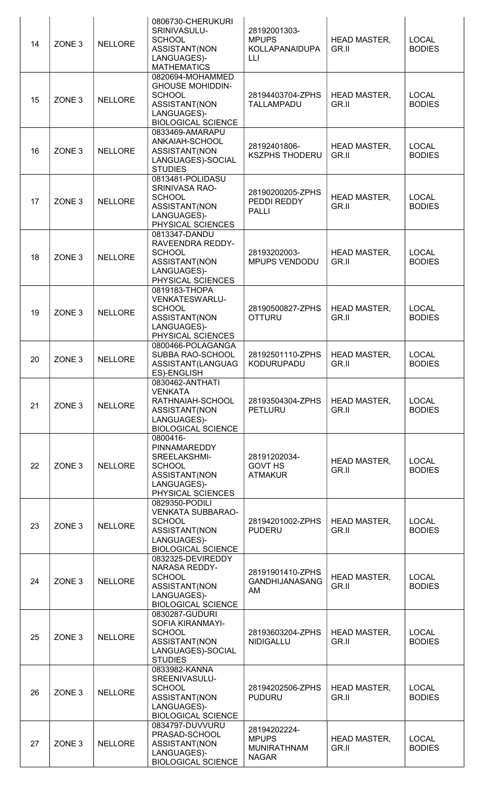| 14 | ZONE <sub>3</sub> | <b>NELLORE</b> | 0806730-CHERUKURI<br>SRINIVASULU-<br><b>SCHOOL</b><br>ASSISTANT(NON<br>LANGUAGES)-<br><b>MATHEMATICS</b>                  | 28192001303-<br><b>MPUPS</b><br><b>KOLLAPANAIDUPA</b><br>LLI       | <b>HEAD MASTER,</b><br>GR.II | <b>LOCAL</b><br><b>BODIES</b> |
|----|-------------------|----------------|---------------------------------------------------------------------------------------------------------------------------|--------------------------------------------------------------------|------------------------------|-------------------------------|
| 15 | ZONE <sub>3</sub> | <b>NELLORE</b> | 0820694-MOHAMMED<br><b>GHOUSE MOHIDDIN-</b><br><b>SCHOOL</b><br>ASSISTANT(NON<br>LANGUAGES)-<br><b>BIOLOGICAL SCIENCE</b> | 28194403704-ZPHS<br><b>TALLAMPADU</b>                              | <b>HEAD MASTER,</b><br>GR.II | <b>LOCAL</b><br><b>BODIES</b> |
| 16 | ZONE <sub>3</sub> | <b>NELLORE</b> | 0833469-AMARAPU<br>ANKAIAH-SCHOOL<br>ASSISTANT(NON<br>LANGUAGES)-SOCIAL<br><b>STUDIES</b>                                 | 28192401806-<br><b>KSZPHS THODERU</b>                              | <b>HEAD MASTER,</b><br>GR.II | <b>LOCAL</b><br><b>BODIES</b> |
| 17 | ZONE <sub>3</sub> | <b>NELLORE</b> | 0813481-POLIDASU<br>SRINIVASA RAO-<br><b>SCHOOL</b><br>ASSISTANT(NON<br>LANGUAGES)-<br>PHYSICAL SCIENCES                  | 28190200205-ZPHS<br>PEDDI REDDY<br><b>PALLI</b>                    | <b>HEAD MASTER,</b><br>GR.II | <b>LOCAL</b><br><b>BODIES</b> |
| 18 | ZONE <sub>3</sub> | <b>NELLORE</b> | 0813347-DANDU<br>RAVEENDRA REDDY-<br><b>SCHOOL</b><br>ASSISTANT(NON<br>LANGUAGES)-<br>PHYSICAL SCIENCES                   | 28193202003-<br>MPUPS VENDODU                                      | <b>HEAD MASTER,</b><br>GR.II | <b>LOCAL</b><br><b>BODIES</b> |
| 19 | ZONE <sub>3</sub> | <b>NELLORE</b> | 0819183-THOPA<br>VENKATESWARLU-<br><b>SCHOOL</b><br>ASSISTANT(NON<br>LANGUAGES)-<br>PHYSICAL SCIENCES                     | 28190500827-ZPHS<br><b>OTTURU</b>                                  | <b>HEAD MASTER,</b><br>GR.II | <b>LOCAL</b><br><b>BODIES</b> |
| 20 | ZONE <sub>3</sub> | <b>NELLORE</b> | 0800466-POLAGANGA<br>SUBBA RAO-SCHOOL<br>ASSISTANT(LANGUAG<br>ES)-ENGLISH                                                 | 28192501110-ZPHS<br><b>KODURUPADU</b>                              | <b>HEAD MASTER,</b><br>GR.II | <b>LOCAL</b><br><b>BODIES</b> |
| 21 | ZONE <sub>3</sub> | <b>NELLORE</b> | 0830462-ANTHATI<br><b>VENKATA</b><br>RATHNAIAH-SCHOOL<br>ASSISTANT(NON<br>LANGUAGES)-<br><b>BIOLOGICAL SCIENCE</b>        | 28193504304-ZPHS<br><b>PETLURU</b>                                 | HEAD MASTER,<br>GR.II        | <b>LOCAL</b><br><b>BODIES</b> |
| 22 | ZONE <sub>3</sub> | <b>NELLORE</b> | 0800416-<br>PINNAMAREDDY<br>SREELAKSHMI-<br><b>SCHOOL</b><br>ASSISTANT(NON<br>LANGUAGES)-<br>PHYSICAL SCIENCES            | 28191202034-<br><b>GOVT HS</b><br><b>ATMAKUR</b>                   | <b>HEAD MASTER,</b><br>GR.II | <b>LOCAL</b><br><b>BODIES</b> |
| 23 | ZONE <sub>3</sub> | <b>NELLORE</b> | 0829350-PODILI<br><b>VENKATA SUBBARAO-</b><br><b>SCHOOL</b><br>ASSISTANT(NON<br>LANGUAGES)-<br><b>BIOLOGICAL SCIENCE</b>  | 28194201002-ZPHS<br><b>PUDERU</b>                                  | <b>HEAD MASTER,</b><br>GR.II | <b>LOCAL</b><br><b>BODIES</b> |
| 24 | ZONE <sub>3</sub> | <b>NELLORE</b> | 0832325-DEVIREDDY<br>NARASA REDDY-<br><b>SCHOOL</b><br>ASSISTANT(NON<br>LANGUAGES)-<br><b>BIOLOGICAL SCIENCE</b>          | 28191901410-ZPHS<br><b>GANDHIJANASANG</b><br>AM                    | <b>HEAD MASTER,</b><br>GR.II | <b>LOCAL</b><br><b>BODIES</b> |
| 25 | ZONE <sub>3</sub> | <b>NELLORE</b> | 0830287-GUDURI<br>SOFIA KIRANMAYI-<br><b>SCHOOL</b><br>ASSISTANT(NON<br>LANGUAGES)-SOCIAL<br><b>STUDIES</b>               | 28193603204-ZPHS<br><b>NIDIGALLU</b>                               | <b>HEAD MASTER,</b><br>GR.II | <b>LOCAL</b><br><b>BODIES</b> |
| 26 | ZONE <sub>3</sub> | <b>NELLORE</b> | 0833982-KANNA<br>SREENIVASULU-<br><b>SCHOOL</b><br>ASSISTANT(NON<br>LANGUAGES)-<br><b>BIOLOGICAL SCIENCE</b>              | 28194202506-ZPHS<br><b>PUDURU</b>                                  | <b>HEAD MASTER,</b><br>GR.II | <b>LOCAL</b><br><b>BODIES</b> |
| 27 | ZONE <sub>3</sub> | <b>NELLORE</b> | 0834797-DUVVURU<br>PRASAD-SCHOOL<br>ASSISTANT(NON<br>LANGUAGES)-<br><b>BIOLOGICAL SCIENCE</b>                             | 28194202224-<br><b>MPUPS</b><br><b>MUNIRATHNAM</b><br><b>NAGAR</b> | <b>HEAD MASTER,</b><br>GR.II | <b>LOCAL</b><br><b>BODIES</b> |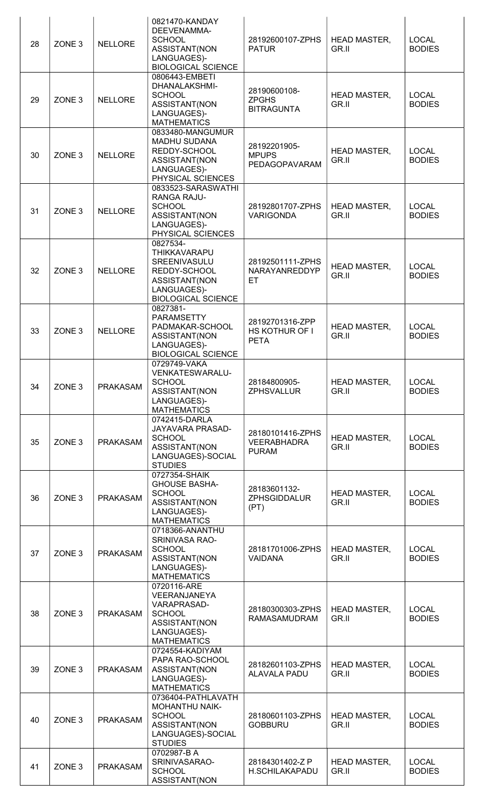| 28<br>29 | ZONE <sub>3</sub><br>ZONE <sub>3</sub> | <b>NELLORE</b><br><b>NELLORE</b> | 0821470-KANDAY<br>DEEVENAMMA-<br><b>SCHOOL</b><br>ASSISTANT(NON<br>LANGUAGES)-<br><b>BIOLOGICAL SCIENCE</b><br>0806443-EMBETI<br>DHANALAKSHMI-<br><b>SCHOOL</b><br>ASSISTANT(NON<br>LANGUAGES)- | 28192600107-ZPHS<br><b>PATUR</b><br>28190600108-<br><b>ZPGHS</b><br><b>BITRAGUNTA</b> | <b>HEAD MASTER,</b><br>GR.II<br><b>HEAD MASTER,</b><br>GR.II | <b>LOCAL</b><br><b>BODIES</b><br><b>LOCAL</b><br><b>BODIES</b> |
|----------|----------------------------------------|----------------------------------|-------------------------------------------------------------------------------------------------------------------------------------------------------------------------------------------------|---------------------------------------------------------------------------------------|--------------------------------------------------------------|----------------------------------------------------------------|
| 30       | ZONE <sub>3</sub>                      | <b>NELLORE</b>                   | <b>MATHEMATICS</b><br>0833480-MANGUMUR<br><b>MADHU SUDANA</b><br>REDDY-SCHOOL<br>ASSISTANT(NON<br>LANGUAGES)-<br>PHYSICAL SCIENCES                                                              | 28192201905-<br><b>MPUPS</b><br>PEDAGOPAVARAM                                         | <b>HEAD MASTER,</b><br>GR.II                                 | <b>LOCAL</b><br><b>BODIES</b>                                  |
| 31       | ZONE <sub>3</sub>                      | <b>NELLORE</b>                   | 0833523-SARASWATHI<br>RANGA RAJU-<br><b>SCHOOL</b><br>ASSISTANT(NON<br>LANGUAGES)-<br>PHYSICAL SCIENCES                                                                                         | 28192801707-ZPHS<br><b>VARIGONDA</b>                                                  | <b>HEAD MASTER,</b><br>GR.II                                 | <b>LOCAL</b><br><b>BODIES</b>                                  |
| 32       | ZONE <sub>3</sub>                      | <b>NELLORE</b>                   | 0827534-<br><b>THIKKAVARAPU</b><br>SREENIVASULU<br>REDDY-SCHOOL<br>ASSISTANT(NON<br>LANGUAGES)-<br><b>BIOLOGICAL SCIENCE</b>                                                                    | 28192501111-ZPHS<br>NARAYANREDDYP<br>ET                                               | <b>HEAD MASTER,</b><br>GR.II                                 | <b>LOCAL</b><br><b>BODIES</b>                                  |
| 33       | ZONE <sub>3</sub>                      | <b>NELLORE</b>                   | 0827381-<br><b>PARAMSETTY</b><br>PADMAKAR-SCHOOL<br>ASSISTANT(NON<br>LANGUAGES)-<br><b>BIOLOGICAL SCIENCE</b>                                                                                   | 28192701316-ZPP<br>HS KOTHUR OF I<br><b>PETA</b>                                      | <b>HEAD MASTER,</b><br>GR.II                                 | <b>LOCAL</b><br><b>BODIES</b>                                  |
| 34       | ZONE <sub>3</sub>                      | <b>PRAKASAM</b>                  | 0729749-VAKA<br>VENKATESWARALU-<br><b>SCHOOL</b><br>ASSISTANT(NON<br>LANGUAGES)-<br><b>MATHEMATICS</b>                                                                                          | 28184800905-<br><b>ZPHSVALLUR</b>                                                     | <b>HEAD MASTER,</b><br>GR.II                                 | <b>LOCAL</b><br><b>BODIES</b>                                  |
| 35       | ZONE <sub>3</sub>                      | <b>PRAKASAM</b>                  | 0742415-DARLA<br>JAYAVARA PRASAD-<br><b>SCHOOL</b><br>ASSISTANT(NON<br>LANGUAGES)-SOCIAL<br><b>STUDIES</b>                                                                                      | 28180101416-ZPHS<br>VEERABHADRA<br><b>PURAM</b>                                       | <b>HEAD MASTER,</b><br>GR.II                                 | <b>LOCAL</b><br><b>BODIES</b>                                  |
| 36       | ZONE <sub>3</sub>                      | <b>PRAKASAM</b>                  | 0727354-SHAIK<br><b>GHOUSE BASHA-</b><br><b>SCHOOL</b><br>ASSISTANT(NON<br>LANGUAGES)-<br><b>MATHEMATICS</b>                                                                                    | 28183601132-<br><b>ZPHSGIDDALUR</b><br>(PT)                                           | <b>HEAD MASTER,</b><br>GR.II                                 | <b>LOCAL</b><br><b>BODIES</b>                                  |
| 37       | ZONE <sub>3</sub>                      | <b>PRAKASAM</b>                  | 0718366-ANANTHU<br><b>SRINIVASA RAO-</b><br><b>SCHOOL</b><br>ASSISTANT(NON<br>LANGUAGES)-<br><b>MATHEMATICS</b>                                                                                 | 28181701006-ZPHS<br><b>VAIDANA</b>                                                    | <b>HEAD MASTER,</b><br>GR.II                                 | <b>LOCAL</b><br><b>BODIES</b>                                  |
| 38       | ZONE <sub>3</sub>                      | <b>PRAKASAM</b>                  | 0720116-ARE<br>VEERANJANEYA<br>VARAPRASAD-<br><b>SCHOOL</b><br>ASSISTANT(NON<br>LANGUAGES)-<br><b>MATHEMATICS</b>                                                                               | 28180300303-ZPHS<br>RAMASAMUDRAM                                                      | <b>HEAD MASTER,</b><br>GR.II                                 | <b>LOCAL</b><br><b>BODIES</b>                                  |
| 39       | ZONE <sub>3</sub>                      | <b>PRAKASAM</b>                  | 0724554-KADIYAM<br>PAPA RAO-SCHOOL<br>ASSISTANT(NON<br>LANGUAGES)-<br><b>MATHEMATICS</b><br>0736404-PATHLAVATH                                                                                  | 28182601103-ZPHS<br><b>ALAVALA PADU</b>                                               | <b>HEAD MASTER,</b><br>GR.II                                 | <b>LOCAL</b><br><b>BODIES</b>                                  |
| 40       | ZONE <sub>3</sub>                      | <b>PRAKASAM</b>                  | MOHANTHU NAIK-<br><b>SCHOOL</b><br>ASSISTANT(NON<br>LANGUAGES)-SOCIAL<br><b>STUDIES</b>                                                                                                         | 28180601103-ZPHS<br><b>GOBBURU</b>                                                    | <b>HEAD MASTER,</b><br>GR.II                                 | <b>LOCAL</b><br><b>BODIES</b>                                  |
| 41       | ZONE <sub>3</sub>                      | <b>PRAKASAM</b>                  | 0702987-B A<br>SRINIVASARAO-<br><b>SCHOOL</b><br>ASSISTANT(NON                                                                                                                                  | 28184301402-Z P<br>H.SCHILAKAPADU                                                     | <b>HEAD MASTER,</b><br>GR.II                                 | <b>LOCAL</b><br><b>BODIES</b>                                  |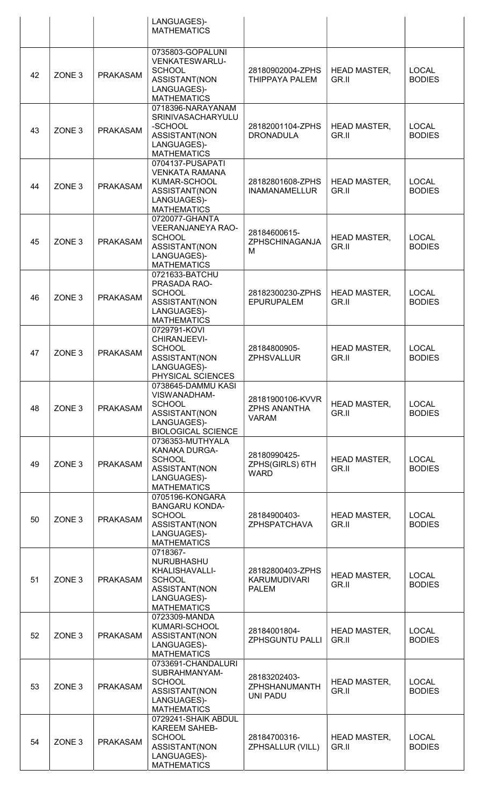|    |                   |                 | LANGUAGES)-<br><b>MATHEMATICS</b>                                                                                  |                                                         |                              |                               |
|----|-------------------|-----------------|--------------------------------------------------------------------------------------------------------------------|---------------------------------------------------------|------------------------------|-------------------------------|
| 42 | ZONE <sub>3</sub> | <b>PRAKASAM</b> | 0735803-GOPALUNI<br><b>VENKATESWARLU-</b><br><b>SCHOOL</b><br>ASSISTANT(NON<br>LANGUAGES)-<br><b>MATHEMATICS</b>   | 28180902004-ZPHS<br>THIPPAYA PALEM                      | <b>HEAD MASTER,</b><br>GR.II | <b>LOCAL</b><br><b>BODIES</b> |
| 43 | ZONE <sub>3</sub> | <b>PRAKASAM</b> | 0718396-NARAYANAM<br><b>SRINIVASACHARYULU</b><br>-SCHOOL<br>ASSISTANT(NON<br>LANGUAGES)-<br><b>MATHEMATICS</b>     | 28182001104-ZPHS<br><b>DRONADULA</b>                    | <b>HEAD MASTER,</b><br>GR.II | <b>LOCAL</b><br><b>BODIES</b> |
| 44 | ZONE <sub>3</sub> | <b>PRAKASAM</b> | 0704137-PUSAPATI<br><b>VENKATA RAMANA</b><br>KUMAR-SCHOOL<br>ASSISTANT(NON<br>LANGUAGES)-<br><b>MATHEMATICS</b>    | 28182801608-ZPHS<br><b>INAMANAMELLUR</b>                | <b>HEAD MASTER,</b><br>GR.II | <b>LOCAL</b><br><b>BODIES</b> |
| 45 | ZONE <sub>3</sub> | <b>PRAKASAM</b> | 0720077-GHANTA<br><b>VEERANJANEYA RAO-</b><br><b>SCHOOL</b><br>ASSISTANT(NON<br>LANGUAGES)-<br><b>MATHEMATICS</b>  | 28184600615-<br>ZPHSCHINAGANJA<br>M                     | <b>HEAD MASTER,</b><br>GR.II | <b>LOCAL</b><br><b>BODIES</b> |
| 46 | ZONE <sub>3</sub> | <b>PRAKASAM</b> | 0721633-BATCHU<br>PRASADA RAO-<br><b>SCHOOL</b><br>ASSISTANT(NON<br>LANGUAGES)-<br><b>MATHEMATICS</b>              | 28182300230-ZPHS<br><b>EPURUPALEM</b>                   | <b>HEAD MASTER,</b><br>GR.II | <b>LOCAL</b><br><b>BODIES</b> |
| 47 | ZONE <sub>3</sub> | <b>PRAKASAM</b> | 0729791-KOVI<br>CHIRANJEEVI-<br><b>SCHOOL</b><br>ASSISTANT(NON<br>LANGUAGES)-<br>PHYSICAL SCIENCES                 | 28184800905-<br><b>ZPHSVALLUR</b>                       | <b>HEAD MASTER,</b><br>GR.II | <b>LOCAL</b><br><b>BODIES</b> |
| 48 | ZONE <sub>3</sub> | <b>PRAKASAM</b> | 0738645-DAMMU KASI<br>VISWANADHAM-<br><b>SCHOOL</b><br>ASSISTANT(NON<br>LANGUAGES)-<br><b>BIOLOGICAL SCIENCE</b>   | 28181900106-KVVR<br><b>ZPHS ANANTHA</b><br><b>VARAM</b> | <b>HEAD MASTER,</b><br>GR.II | <b>LOCAL</b><br><b>BODIES</b> |
| 49 | ZONE <sub>3</sub> | <b>PRAKASAM</b> | 0736353-MUTHYALA<br>KANAKA DURGA-<br><b>SCHOOL</b><br>ASSISTANT(NON<br>LANGUAGES)-<br><b>MATHEMATICS</b>           | 28180990425-<br>ZPHS(GIRLS) 6TH<br><b>WARD</b>          | <b>HEAD MASTER,</b><br>GR.II | <b>LOCAL</b><br><b>BODIES</b> |
| 50 | ZONE <sub>3</sub> | <b>PRAKASAM</b> | 0705196-KONGARA<br><b>BANGARU KONDA-</b><br><b>SCHOOL</b><br>ASSISTANT(NON<br>LANGUAGES)-<br><b>MATHEMATICS</b>    | 28184900403-<br>ZPHSPATCHAVA                            | <b>HEAD MASTER,</b><br>GR.II | <b>LOCAL</b><br><b>BODIES</b> |
| 51 | ZONE <sub>3</sub> | <b>PRAKASAM</b> | 0718367-<br>NURUBHASHU<br>KHALISHAVALLI-<br><b>SCHOOL</b><br>ASSISTANT(NON<br>LANGUAGES)-<br><b>MATHEMATICS</b>    | 28182800403-ZPHS<br><b>KARUMUDIVARI</b><br><b>PALEM</b> | <b>HEAD MASTER,</b><br>GR.II | <b>LOCAL</b><br><b>BODIES</b> |
| 52 | ZONE <sub>3</sub> | <b>PRAKASAM</b> | 0723309-MANDA<br>KUMARI-SCHOOL<br>ASSISTANT(NON<br>LANGUAGES)-<br><b>MATHEMATICS</b>                               | 28184001804-<br><b>ZPHSGUNTU PALLI</b>                  | <b>HEAD MASTER,</b><br>GR.II | <b>LOCAL</b><br><b>BODIES</b> |
| 53 | ZONE <sub>3</sub> | <b>PRAKASAM</b> | 0733691-CHANDALURI<br>SUBRAHMANYAM-<br><b>SCHOOL</b><br>ASSISTANT(NON<br>LANGUAGES)-<br><b>MATHEMATICS</b>         | 28183202403-<br>ZPHSHANUMANTH<br><b>UNI PADU</b>        | <b>HEAD MASTER,</b><br>GR.II | <b>LOCAL</b><br><b>BODIES</b> |
| 54 | ZONE <sub>3</sub> | <b>PRAKASAM</b> | 0729241-SHAIK ABDUL<br><b>KAREEM SAHEB-</b><br><b>SCHOOL</b><br>ASSISTANT(NON<br>LANGUAGES)-<br><b>MATHEMATICS</b> | 28184700316-<br>ZPHSALLUR (VILL)                        | <b>HEAD MASTER,</b><br>GR.II | <b>LOCAL</b><br><b>BODIES</b> |